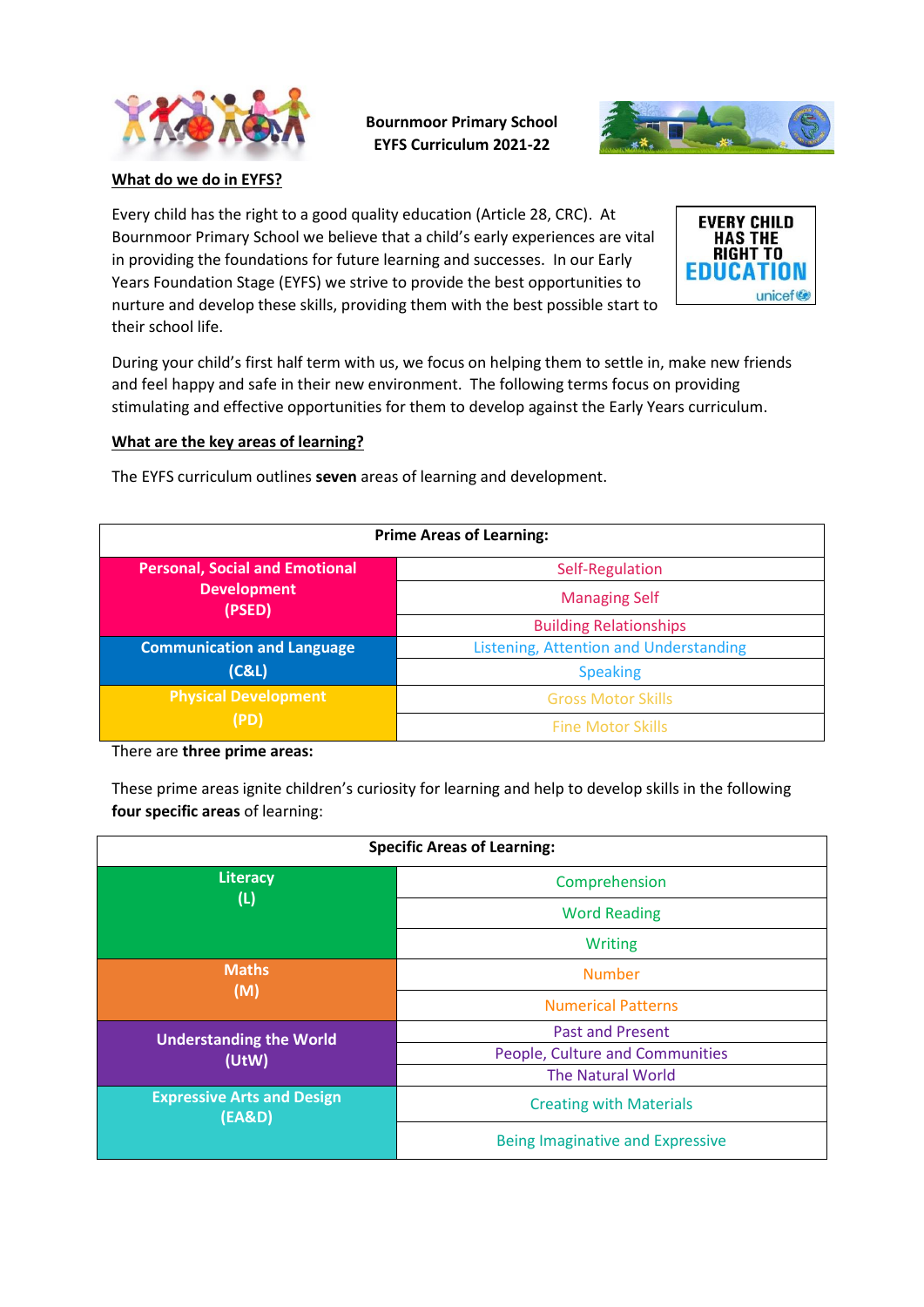

**Bournmoor Primary School EYFS Curriculum 2021-22**



**What do we do in EYFS?**

Every child has the right to a good quality education (Article 28, CRC). At Bournmoor Primary School we believe that a child's early experiences are vital in providing the foundations for future learning and successes. In our Early Years Foundation Stage (EYFS) we strive to provide the best opportunities to nurture and develop these skills, providing them with the best possible start to their school life.



During your child's first half term with us, we focus on helping them to settle in, make new friends and feel happy and safe in their new environment. The following terms focus on providing stimulating and effective opportunities for them to develop against the Early Years curriculum.

## **What are the key areas of learning?**

The EYFS curriculum outlines **seven** areas of learning and development.

| <b>Prime Areas of Learning:</b>       |                                        |
|---------------------------------------|----------------------------------------|
| <b>Personal, Social and Emotional</b> | Self-Regulation                        |
| <b>Development</b><br>(PSED)          | <b>Managing Self</b>                   |
|                                       | <b>Building Relationships</b>          |
| <b>Communication and Language</b>     | Listening, Attention and Understanding |
| (C&L)                                 | <b>Speaking</b>                        |
| <b>Physical Development</b><br>(PD)   | <b>Gross Motor Skills</b>              |
|                                       | <b>Fine Motor Skills</b>               |

There are **three prime areas:**

These prime areas ignite children's curiosity for learning and help to develop skills in the following **four specific areas** of learning:

| <b>Specific Areas of Learning:</b>          |                                  |
|---------------------------------------------|----------------------------------|
| <b>Literacy</b><br>(L)                      | Comprehension                    |
|                                             | <b>Word Reading</b>              |
|                                             | <b>Writing</b>                   |
| <b>Maths</b><br>(M)                         | <b>Number</b>                    |
|                                             | <b>Numerical Patterns</b>        |
| <b>Understanding the World</b><br>(UtW)     | <b>Past and Present</b>          |
|                                             | People, Culture and Communities  |
|                                             | <b>The Natural World</b>         |
| <b>Expressive Arts and Design</b><br>(EA&D) | <b>Creating with Materials</b>   |
|                                             | Being Imaginative and Expressive |